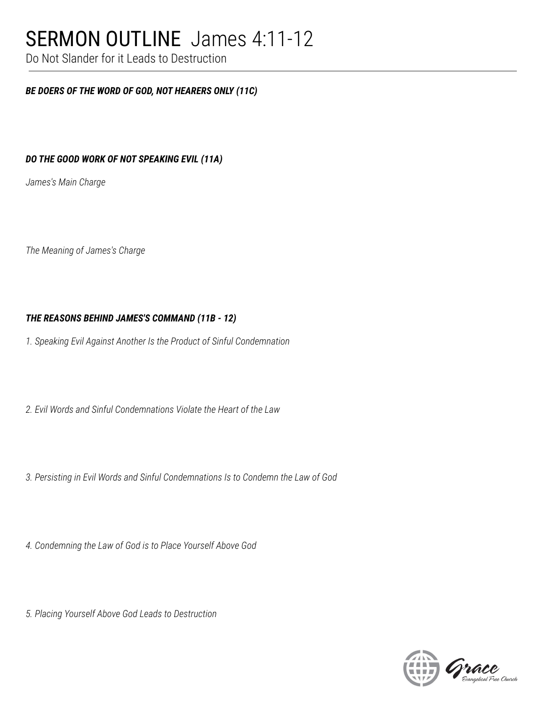## SERMON OUTLINE James 4:11-12

Do Not Slander for it Leads to Destruction

### *BE DOERS OF THE WORD OF GOD, NOT HEARERS ONLY (11C)*

### *DO THE GOOD WORK OF NOT SPEAKING EVIL (11A)*

*James's Main Charge*

*The Meaning of James's Charge*

### *THE REASONS BEHIND JAMES'S COMMAND (11B - 12)*

*1. Speaking Evil Against Another Is the Product of Sinful Condemnation*

*2. Evil Words and Sinful Condemnations Violate the Heart of the Law*

*3. Persisting in Evil Words and Sinful Condemnations Is to Condemn the Law of God*

*4. Condemning the Law of God is to Place Yourself Above God*

*5. Placing Yourself Above God Leads to Destruction*